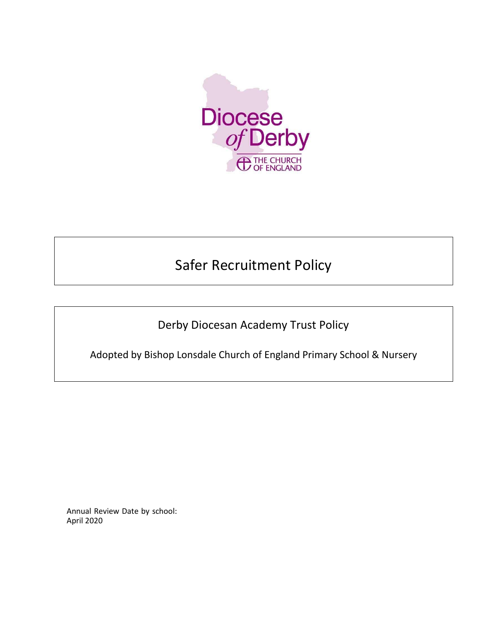

# Safer Recruitment Policy

Derby Diocesan Academy Trust Policy

Adopted by Bishop Lonsdale Church of England Primary School & Nursery

Annual Review Date by school: April 2020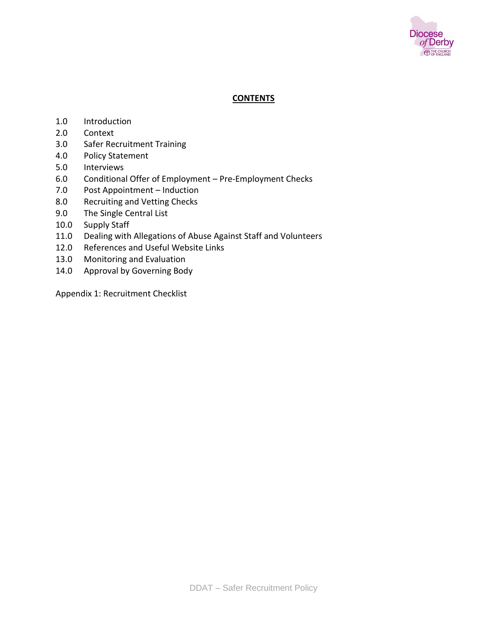

## **CONTENTS**

- 1.0 Introduction
- 2.0 Context
- 3.0 Safer Recruitment Training
- 4.0 Policy Statement
- 5.0 Interviews
- 6.0 Conditional Offer of Employment Pre-Employment Checks
- 7.0 Post Appointment Induction
- 8.0 Recruiting and Vetting Checks
- 9.0 The Single Central List
- 10.0 Supply Staff
- 11.0 Dealing with Allegations of Abuse Against Staff and Volunteers
- 12.0 References and Useful Website Links
- 13.0 Monitoring and Evaluation
- 14.0 Approval by Governing Body

Appendix 1: Recruitment Checklist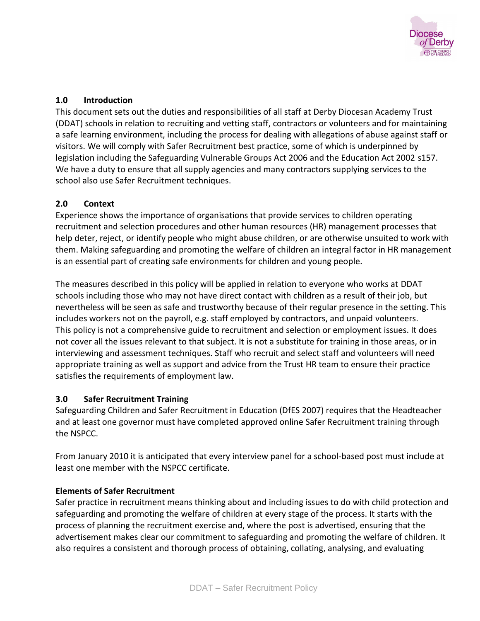

# **1.0 Introduction**

This document sets out the duties and responsibilities of all staff at Derby Diocesan Academy Trust (DDAT) schools in relation to recruiting and vetting staff, contractors or volunteers and for maintaining a safe learning environment, including the process for dealing with allegations of abuse against staff or visitors. We will comply with Safer Recruitment best practice, some of which is underpinned by legislation including the Safeguarding Vulnerable Groups Act 2006 and the Education Act 2002 s157. We have a duty to ensure that all supply agencies and many contractors supplying services to the school also use Safer Recruitment techniques.

# **2.0 Context**

Experience shows the importance of organisations that provide services to children operating recruitment and selection procedures and other human resources (HR) management processes that help deter, reject, or identify people who might abuse children, or are otherwise unsuited to work with them. Making safeguarding and promoting the welfare of children an integral factor in HR management is an essential part of creating safe environments for children and young people.

The measures described in this policy will be applied in relation to everyone who works at DDAT schools including those who may not have direct contact with children as a result of their job, but nevertheless will be seen as safe and trustworthy because of their regular presence in the setting. This includes workers not on the payroll, e.g. staff employed by contractors, and unpaid volunteers. This policy is not a comprehensive guide to recruitment and selection or employment issues. It does not cover all the issues relevant to that subject. It is not a substitute for training in those areas, or in interviewing and assessment techniques. Staff who recruit and select staff and volunteers will need appropriate training as well as support and advice from the Trust HR team to ensure their practice satisfies the requirements of employment law.

# **3.0 Safer Recruitment Training**

Safeguarding Children and Safer Recruitment in Education (DfES 2007) requires that the Headteacher and at least one governor must have completed approved online Safer Recruitment training through the NSPCC.

From January 2010 it is anticipated that every interview panel for a school-based post must include at least one member with the NSPCC certificate.

## **Elements of Safer Recruitment**

Safer practice in recruitment means thinking about and including issues to do with child protection and safeguarding and promoting the welfare of children at every stage of the process. It starts with the process of planning the recruitment exercise and, where the post is advertised, ensuring that the advertisement makes clear our commitment to safeguarding and promoting the welfare of children. It also requires a consistent and thorough process of obtaining, collating, analysing, and evaluating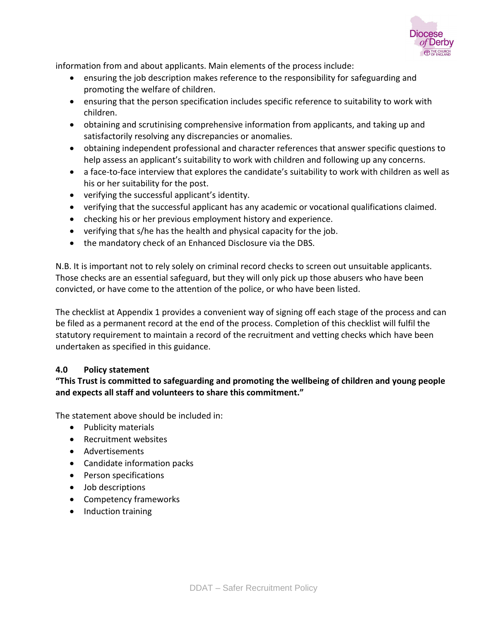

information from and about applicants. Main elements of the process include:

- ensuring the job description makes reference to the responsibility for safeguarding and promoting the welfare of children.
- ensuring that the person specification includes specific reference to suitability to work with children.
- obtaining and scrutinising comprehensive information from applicants, and taking up and satisfactorily resolving any discrepancies or anomalies.
- obtaining independent professional and character references that answer specific questions to help assess an applicant's suitability to work with children and following up any concerns.
- a face-to-face interview that explores the candidate's suitability to work with children as well as his or her suitability for the post.
- verifying the successful applicant's identity.
- verifying that the successful applicant has any academic or vocational qualifications claimed.
- checking his or her previous employment history and experience.
- verifying that s/he has the health and physical capacity for the job.
- the mandatory check of an Enhanced Disclosure via the DBS.

N.B. It is important not to rely solely on criminal record checks to screen out unsuitable applicants. Those checks are an essential safeguard, but they will only pick up those abusers who have been convicted, or have come to the attention of the police, or who have been listed.

The checklist at Appendix 1 provides a convenient way of signing off each stage of the process and can be filed as a permanent record at the end of the process. Completion of this checklist will fulfil the statutory requirement to maintain a record of the recruitment and vetting checks which have been undertaken as specified in this guidance.

## **4.0 Policy statement**

# **"This Trust is committed to safeguarding and promoting the wellbeing of children and young people and expects all staff and volunteers to share this commitment."**

The statement above should be included in:

- Publicity materials
- Recruitment websites
- Advertisements
- Candidate information packs
- Person specifications
- Job descriptions
- Competency frameworks
- Induction training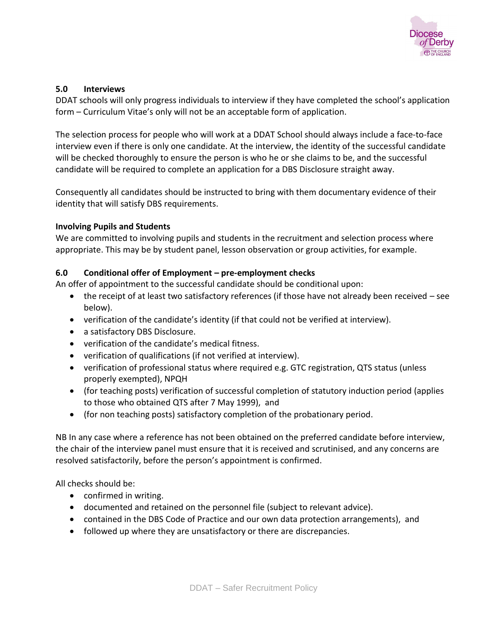

#### **5.0 Interviews**

DDAT schools will only progress individuals to interview if they have completed the school's application form – Curriculum Vitae's only will not be an acceptable form of application.

The selection process for people who will work at a DDAT School should always include a face-to-face interview even if there is only one candidate. At the interview, the identity of the successful candidate will be checked thoroughly to ensure the person is who he or she claims to be, and the successful candidate will be required to complete an application for a DBS Disclosure straight away.

Consequently all candidates should be instructed to bring with them documentary evidence of their identity that will satisfy DBS requirements.

#### **Involving Pupils and Students**

We are committed to involving pupils and students in the recruitment and selection process where appropriate. This may be by student panel, lesson observation or group activities, for example.

#### **6.0 Conditional offer of Employment – pre-employment checks**

An offer of appointment to the successful candidate should be conditional upon:

- the receipt of at least two satisfactory references (if those have not already been received see below).
- verification of the candidate's identity (if that could not be verified at interview).
- a satisfactory DBS Disclosure.
- verification of the candidate's medical fitness.
- verification of qualifications (if not verified at interview).
- verification of professional status where required e.g. GTC registration, QTS status (unless properly exempted), NPQH
- (for teaching posts) verification of successful completion of statutory induction period (applies to those who obtained QTS after 7 May 1999), and
- (for non teaching posts) satisfactory completion of the probationary period.

NB In any case where a reference has not been obtained on the preferred candidate before interview, the chair of the interview panel must ensure that it is received and scrutinised, and any concerns are resolved satisfactorily, before the person's appointment is confirmed.

All checks should be:

- confirmed in writing.
- documented and retained on the personnel file (subject to relevant advice).
- contained in the DBS Code of Practice and our own data protection arrangements), and
- followed up where they are unsatisfactory or there are discrepancies.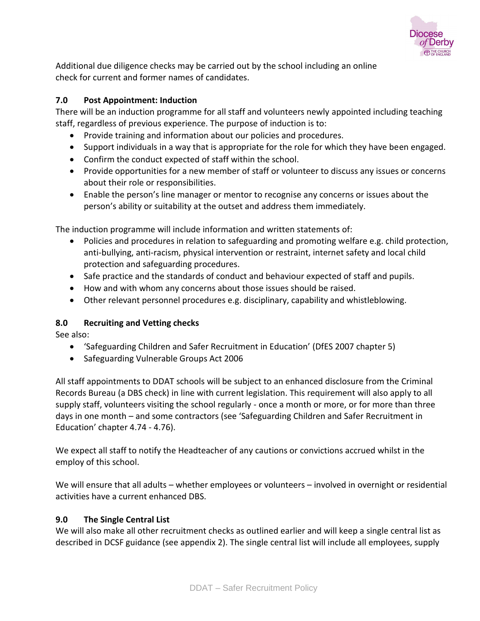

Additional due diligence checks may be carried out by the school including an online check for current and former names of candidates.

## **7.0 Post Appointment: Induction**

There will be an induction programme for all staff and volunteers newly appointed including teaching staff, regardless of previous experience. The purpose of induction is to:

- Provide training and information about our policies and procedures.
- Support individuals in a way that is appropriate for the role for which they have been engaged.
- Confirm the conduct expected of staff within the school.
- Provide opportunities for a new member of staff or volunteer to discuss any issues or concerns about their role or responsibilities.
- Enable the person's line manager or mentor to recognise any concerns or issues about the person's ability or suitability at the outset and address them immediately.

The induction programme will include information and written statements of:

- Policies and procedures in relation to safeguarding and promoting welfare e.g. child protection, anti-bullying, anti-racism, physical intervention or restraint, internet safety and local child protection and safeguarding procedures.
- Safe practice and the standards of conduct and behaviour expected of staff and pupils.
- How and with whom any concerns about those issues should be raised.
- Other relevant personnel procedures e.g. disciplinary, capability and whistleblowing.

## **8.0 Recruiting and Vetting checks**

See also:

- 'Safeguarding Children and Safer Recruitment in Education' (DfES 2007 chapter 5)
- Safeguarding Vulnerable Groups Act 2006

All staff appointments to DDAT schools will be subject to an enhanced disclosure from the Criminal Records Bureau (a DBS check) in line with current legislation. This requirement will also apply to all supply staff, volunteers visiting the school regularly - once a month or more, or for more than three days in one month – and some contractors (see 'Safeguarding Children and Safer Recruitment in Education' chapter 4.74 - 4.76).

We expect all staff to notify the Headteacher of any cautions or convictions accrued whilst in the employ of this school.

We will ensure that all adults – whether employees or volunteers – involved in overnight or residential activities have a current enhanced DBS.

## **9.0 The Single Central List**

We will also make all other recruitment checks as outlined earlier and will keep a single central list as described in DCSF guidance (see appendix 2). The single central list will include all employees, supply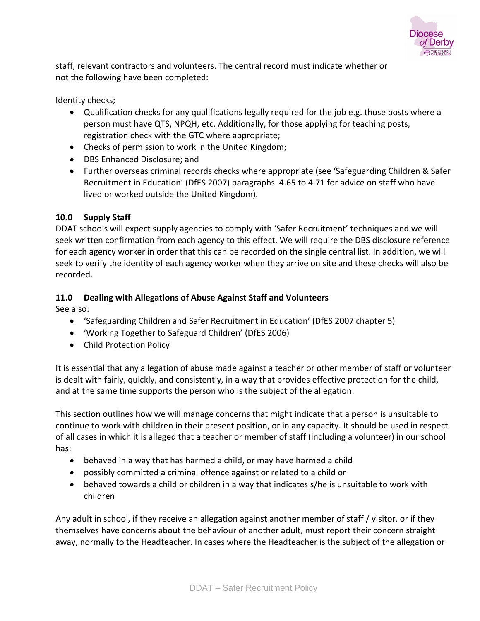

staff, relevant contractors and volunteers. The central record must indicate whether or not the following have been completed:

Identity checks;

- Qualification checks for any qualifications legally required for the job e.g. those posts where a person must have QTS, NPQH, etc. Additionally, for those applying for teaching posts, registration check with the GTC where appropriate;
- Checks of permission to work in the United Kingdom;
- DBS Enhanced Disclosure; and
- Further overseas criminal records checks where appropriate (see 'Safeguarding Children & Safer Recruitment in Education' (DfES 2007) paragraphs 4.65 to 4.71 for advice on staff who have lived or worked outside the United Kingdom).

## **10.0 Supply Staff**

DDAT schools will expect supply agencies to comply with 'Safer Recruitment' techniques and we will seek written confirmation from each agency to this effect. We will require the DBS disclosure reference for each agency worker in order that this can be recorded on the single central list. In addition, we will seek to verify the identity of each agency worker when they arrive on site and these checks will also be recorded.

## **11.0 Dealing with Allegations of Abuse Against Staff and Volunteers**

See also:

- 'Safeguarding Children and Safer Recruitment in Education' (DfES 2007 chapter 5)
- 'Working Together to Safeguard Children' (DfES 2006)
- Child Protection Policy

It is essential that any allegation of abuse made against a teacher or other member of staff or volunteer is dealt with fairly, quickly, and consistently, in a way that provides effective protection for the child, and at the same time supports the person who is the subject of the allegation.

This section outlines how we will manage concerns that might indicate that a person is unsuitable to continue to work with children in their present position, or in any capacity. It should be used in respect of all cases in which it is alleged that a teacher or member of staff (including a volunteer) in our school has:

- behaved in a way that has harmed a child, or may have harmed a child
- possibly committed a criminal offence against or related to a child or
- behaved towards a child or children in a way that indicates s/he is unsuitable to work with children

Any adult in school, if they receive an allegation against another member of staff / visitor, or if they themselves have concerns about the behaviour of another adult, must report their concern straight away, normally to the Headteacher. In cases where the Headteacher is the subject of the allegation or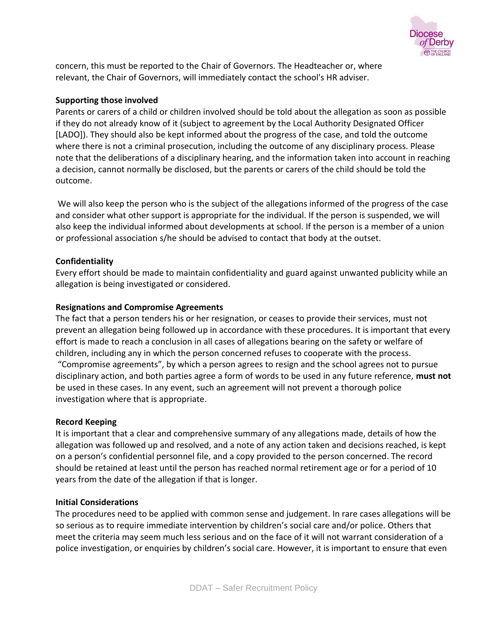

concern, this must be reported to the Chair of Governors. The Headteacher or, where relevant, the Chair of Governors, will immediately contact the school's HR adviser.

#### **Supporting those involved**

Parents or carers of a child or children involved should be told about the allegation as soon as possible if they do not already know of it (subject to agreement by the Local Authority Designated Officer [LADO]). They should also be kept informed about the progress of the case, and told the outcome where there is not a criminal prosecution, including the outcome of any disciplinary process. Please note that the deliberations of a disciplinary hearing, and the information taken into account in reaching a decision, cannot normally be disclosed, but the parents or carers of the child should be told the outcome.

We will also keep the person who is the subject of the allegations informed of the progress of the case and consider what other support is appropriate for the individual. If the person is suspended, we will also keep the individual informed about developments at school. If the person is a member of a union or professional association s/he should be advised to contact that body at the outset.

#### **Confidentiality**

Every effort should be made to maintain confidentiality and guard against unwanted publicity while an allegation is being investigated or considered.

#### **Resignations and Compromise Agreements**

The fact that a person tenders his or her resignation, or ceases to provide their services, must not prevent an allegation being followed up in accordance with these procedures. It is important that every effort is made to reach a conclusion in all cases of allegations bearing on the safety or welfare of children, including any in which the person concerned refuses to cooperate with the process. "Compromise agreements", by which a person agrees to resign and the school agrees not to pursue disciplinary action, and both parties agree a form of words to be used in any future reference, **must not** be used in these cases. In any event, such an agreement will not prevent a thorough police investigation where that is appropriate.

#### **Record Keeping**

It is important that a clear and comprehensive summary of any allegations made, details of how the allegation was followed up and resolved, and a note of any action taken and decisions reached, is kept on a person's confidential personnel file, and a copy provided to the person concerned. The record should be retained at least until the person has reached normal retirement age or for a period of 10 years from the date of the allegation if that is longer.

#### **Initial Considerations**

The procedures need to be applied with common sense and judgement. In rare cases allegations will be so serious as to require immediate intervention by children's social care and/or police. Others that meet the criteria may seem much less serious and on the face of it will not warrant consideration of a police investigation, or enquiries by children's social care. However, it is important to ensure that even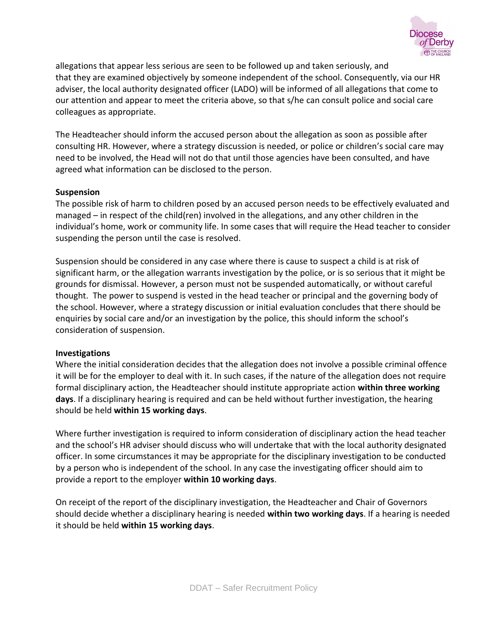

allegations that appear less serious are seen to be followed up and taken seriously, and that they are examined objectively by someone independent of the school. Consequently, via our HR adviser, the local authority designated officer (LADO) will be informed of all allegations that come to our attention and appear to meet the criteria above, so that s/he can consult police and social care colleagues as appropriate.

The Headteacher should inform the accused person about the allegation as soon as possible after consulting HR. However, where a strategy discussion is needed, or police or children's social care may need to be involved, the Head will not do that until those agencies have been consulted, and have agreed what information can be disclosed to the person.

#### **Suspension**

The possible risk of harm to children posed by an accused person needs to be effectively evaluated and managed – in respect of the child(ren) involved in the allegations, and any other children in the individual's home, work or community life. In some cases that will require the Head teacher to consider suspending the person until the case is resolved.

Suspension should be considered in any case where there is cause to suspect a child is at risk of significant harm, or the allegation warrants investigation by the police, or is so serious that it might be grounds for dismissal. However, a person must not be suspended automatically, or without careful thought. The power to suspend is vested in the head teacher or principal and the governing body of the school. However, where a strategy discussion or initial evaluation concludes that there should be enquiries by social care and/or an investigation by the police, this should inform the school's consideration of suspension.

#### **Investigations**

Where the initial consideration decides that the allegation does not involve a possible criminal offence it will be for the employer to deal with it. In such cases, if the nature of the allegation does not require formal disciplinary action, the Headteacher should institute appropriate action **within three working days**. If a disciplinary hearing is required and can be held without further investigation, the hearing should be held **within 15 working days**.

Where further investigation is required to inform consideration of disciplinary action the head teacher and the school's HR adviser should discuss who will undertake that with the local authority designated officer. In some circumstances it may be appropriate for the disciplinary investigation to be conducted by a person who is independent of the school. In any case the investigating officer should aim to provide a report to the employer **within 10 working days**.

On receipt of the report of the disciplinary investigation, the Headteacher and Chair of Governors should decide whether a disciplinary hearing is needed **within two working days**. If a hearing is needed it should be held **within 15 working days**.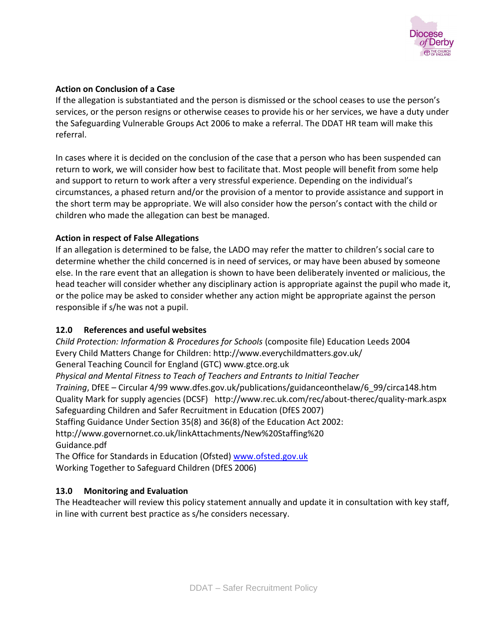

# **Action on Conclusion of a Case**

If the allegation is substantiated and the person is dismissed or the school ceases to use the person's services, or the person resigns or otherwise ceases to provide his or her services, we have a duty under the Safeguarding Vulnerable Groups Act 2006 to make a referral. The DDAT HR team will make this referral.

In cases where it is decided on the conclusion of the case that a person who has been suspended can return to work, we will consider how best to facilitate that. Most people will benefit from some help and support to return to work after a very stressful experience. Depending on the individual's circumstances, a phased return and/or the provision of a mentor to provide assistance and support in the short term may be appropriate. We will also consider how the person's contact with the child or children who made the allegation can best be managed.

# **Action in respect of False Allegations**

If an allegation is determined to be false, the LADO may refer the matter to children's social care to determine whether the child concerned is in need of services, or may have been abused by someone else. In the rare event that an allegation is shown to have been deliberately invented or malicious, the head teacher will consider whether any disciplinary action is appropriate against the pupil who made it, or the police may be asked to consider whether any action might be appropriate against the person responsible if s/he was not a pupil.

# **12.0 References and useful websites**

*Child Protection: Information & Procedures for Schools* (composite file) Education Leeds 2004 Every Child Matters Change for Children: http://www.everychildmatters.gov.uk/ General Teaching Council for England (GTC) www.gtce.org.uk *Physical and Mental Fitness to Teach of Teachers and Entrants to Initial Teacher Training*, DfEE – Circular 4/99 www.dfes.gov.uk/publications/guidanceonthelaw/6\_99/circa148.htm Quality Mark for supply agencies (DCSF) http://www.rec.uk.com/rec/about-therec/quality-mark.aspx Safeguarding Children and Safer Recruitment in Education (DfES 2007) Staffing Guidance Under Section 35(8) and 36(8) of the Education Act 2002: http://www.governornet.co.uk/linkAttachments/New%20Staffing%20 Guidance.pdf The Office for Standards in Education (Ofsted) www.ofsted.gov.uk Working Together to Safeguard Children (DfES 2006)

# **13.0 Monitoring and Evaluation**

The Headteacher will review this policy statement annually and update it in consultation with key staff, in line with current best practice as s/he considers necessary.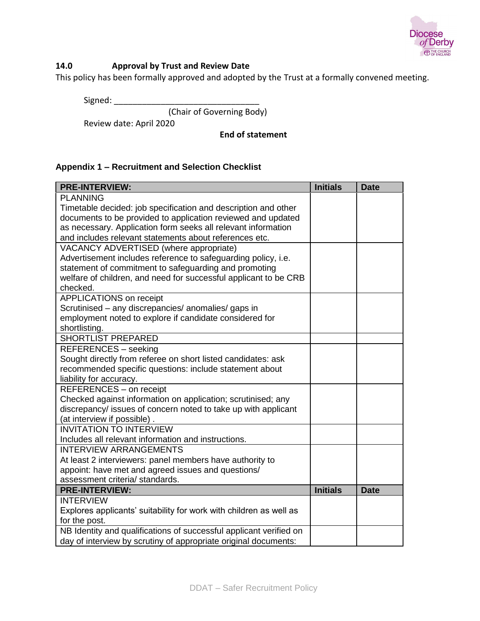

# **14.0 Approval by Trust and Review Date**

This policy has been formally approved and adopted by the Trust at a formally convened meeting.

Signed:

(Chair of Governing Body)

Review date: April 2020

**End of statement**

#### **Appendix 1 – Recruitment and Selection Checklist**

| <b>PRE-INTERVIEW:</b>                                              | <b>Initials</b> | <b>Date</b> |
|--------------------------------------------------------------------|-----------------|-------------|
| <b>PLANNING</b>                                                    |                 |             |
| Timetable decided: job specification and description and other     |                 |             |
| documents to be provided to application reviewed and updated       |                 |             |
| as necessary. Application form seeks all relevant information      |                 |             |
| and includes relevant statements about references etc.             |                 |             |
| VACANCY ADVERTISED (where appropriate)                             |                 |             |
| Advertisement includes reference to safeguarding policy, i.e.      |                 |             |
| statement of commitment to safeguarding and promoting              |                 |             |
| welfare of children, and need for successful applicant to be CRB   |                 |             |
| checked.                                                           |                 |             |
| <b>APPLICATIONS</b> on receipt                                     |                 |             |
| Scrutinised - any discrepancies/ anomalies/ gaps in                |                 |             |
| employment noted to explore if candidate considered for            |                 |             |
| shortlisting.                                                      |                 |             |
| <b>SHORTLIST PREPARED</b>                                          |                 |             |
| <b>REFERENCES - seeking</b>                                        |                 |             |
| Sought directly from referee on short listed candidates: ask       |                 |             |
| recommended specific questions: include statement about            |                 |             |
| liability for accuracy.                                            |                 |             |
| REFERENCES - on receipt                                            |                 |             |
| Checked against information on application; scrutinised; any       |                 |             |
| discrepancy/ issues of concern noted to take up with applicant     |                 |             |
| (at interview if possible).                                        |                 |             |
| <b>INVITATION TO INTERVIEW</b>                                     |                 |             |
| Includes all relevant information and instructions.                |                 |             |
| <b>INTERVIEW ARRANGEMENTS</b>                                      |                 |             |
| At least 2 interviewers: panel members have authority to           |                 |             |
| appoint: have met and agreed issues and questions/                 |                 |             |
| assessment criteria/ standards.                                    |                 |             |
| <b>PRE-INTERVIEW:</b>                                              | <b>Initials</b> | <b>Date</b> |
| <b>INTERVIEW</b>                                                   |                 |             |
| Explores applicants' suitability for work with children as well as |                 |             |
| for the post.                                                      |                 |             |
| NB Identity and qualifications of successful applicant verified on |                 |             |
| day of interview by scrutiny of appropriate original documents:    |                 |             |